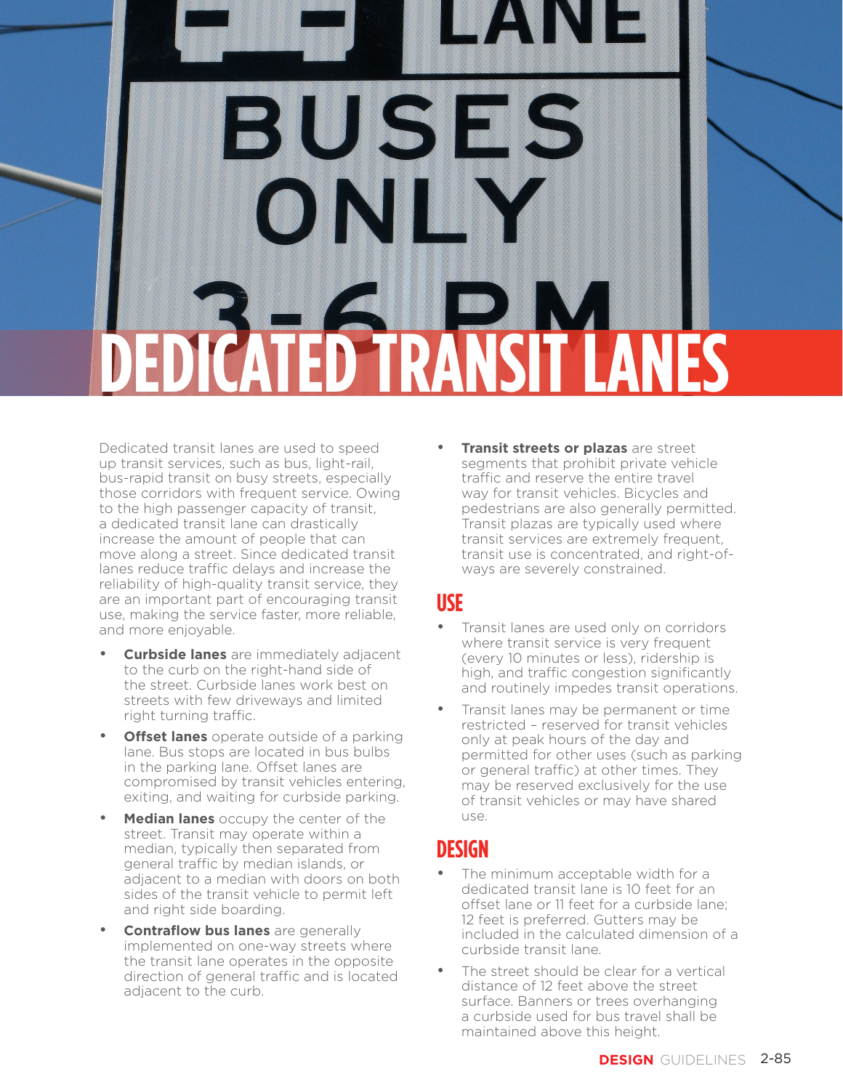# TRAVEL ZONE **BUSES DEDICATED TRANSIT LANES**

Dedicated transit lanes are used to speed up transit services, such as bus, light-rail, bus-rapid transit on busy streets, especially those corridors with frequent service. Owing to the high passenger capacity of transit, a dedicated transit lane can drastically increase the amount of people that can move along a street. Since dedicated transit lanes reduce traffic delays and increase the reliability of high-quality transit service, they are an important part of encouraging transit use, making the service faster, more reliable, and more enjoyable.

- **Curbside lanes** are immediately adjacent to the curb on the right-hand side of the street. Curbside lanes work best on streets with few driveways and limited right turning traffic.
- **Offset lanes** operate outside of a parking lane. Bus stops are located in bus bulbs in the parking lane. Offset lanes are compromised by transit vehicles entering, exiting, and waiting for curbside parking.
- **Median lanes** occupy the center of the street. Transit may operate within a median, typically then separated from general traffic by median islands, or adjacent to a median with doors on both sides of the transit vehicle to permit left and right side boarding.
- **Contraflow bus lanes** are generally implemented on one-way streets where the transit lane operates in the opposite direction of general traffic and is located adjacent to the curb.

• **Transit streets or plazas** are street segments that prohibit private vehicle traffic and reserve the entire travel way for transit vehicles. Bicycles and pedestrians are also generally permitted. Transit plazas are typically used where transit services are extremely frequent, transit use is concentrated, and right-ofways are severely constrained.

#### **USE**

- Transit lanes are used only on corridors where transit service is very frequent (every 10 minutes or less), ridership is high, and traffic congestion significantly and routinely impedes transit operations.
- Transit lanes may be permanent or time restricted – reserved for transit vehicles only at peak hours of the day and permitted for other uses (such as parking or general traffic) at other times. They may be reserved exclusively for the use of transit vehicles or may have shared use.

### **DESIGN**

- The minimum acceptable width for a dedicated transit lane is 10 feet for an offset lane or 11 feet for a curbside lane; 12 feet is preferred. Gutters may be included in the calculated dimension of a curbside transit lane.
- The street should be clear for a vertical distance of 12 feet above the street surface. Banners or trees overhanging a curbside used for bus travel shall be maintained above this height.